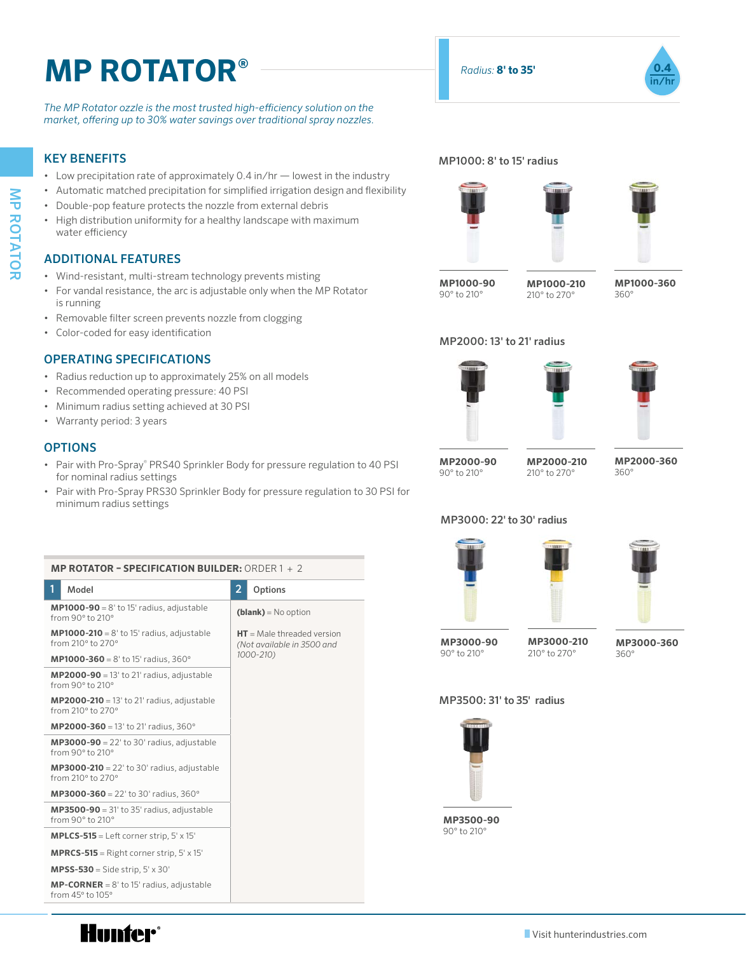# **MP ROTATOR<sup>®</sup>** *ROTATOR<sup>®</sup>* **in/hr Table of Contents:** The Contents of Contents: The Contents: The Contents: The Contents: The Contents: The Contents: The Contents: The Contents: The Contents: The Contents: The Contents: The Contents: The Contents:

*The MP Rotator ozzle is the most trusted high-efficiency solution on the market, offering up to 30% water savings over traditional spray nozzles.* 

# KEY BENEFITS

- Low precipitation rate of approximately 0.4 in/hr lowest in the industry
- Automatic matched precipitation for simplified irrigation design and flexibility
- Double-pop feature protects the nozzle from external debris
- High distribution uniformity for a healthy landscape with maximum water efficiency

# ADDITIONAL FEATURES

- Wind-resistant, multi-stream technology prevents misting
- For vandal resistance, the arc is adjustable only when the MP Rotator is running
- Removable filter screen prevents nozzle from clogging
- Color-coded for easy identification

# OPERATING SPECIFICATIONS

- Radius reduction up to approximately 25% on all models
- Recommended operating pressure: 40 PSI
- Minimum radius setting achieved at 30 PSI
- Warranty period: 3 years

### **OPTIONS**

- Pair with Pro-Spray® PRS40 Sprinkler Body for pressure regulation to 40 PSI for nominal radius settings
- Pair with Pro-Spray PRS30 Sprinkler Body for pressure regulation to 30 PSI for minimum radius settings

|  |  | <b>MP ROTATOR - SPECIFICATION BUILDER:</b> ORDER 1 + 2 |  |  |
|--|--|--------------------------------------------------------|--|--|

| 1<br>Model                                                                          | 2<br>Options                                                            |  |  |  |  |
|-------------------------------------------------------------------------------------|-------------------------------------------------------------------------|--|--|--|--|
| <b>MP1000-90</b> = $8'$ to 15' radius, adjustable<br>from $90^\circ$ to $210^\circ$ | $(blank) = No$ option                                                   |  |  |  |  |
| <b>MP1000-210</b> = $8'$ to 15' radius, adjustable<br>from 210° to 270°             | $HT = Male$ threaded version<br>(Not available in 3500 and<br>1000-210) |  |  |  |  |
| <b>MP1000-360</b> = $8'$ to 15' radius, 360°                                        |                                                                         |  |  |  |  |
| $MP2000-90 = 13'$ to 21' radius, adjustable<br>from 90° to 210°                     |                                                                         |  |  |  |  |
| <b>MP2000-210</b> = 13' to 21' radius, adjustable<br>from 210° to 270°              |                                                                         |  |  |  |  |
| <b>MP2000-360</b> = 13' to 21' radius, 360°                                         |                                                                         |  |  |  |  |
| <b>MP3000-90</b> = 22' to 30' radius, adjustable<br>from 90° to 210°                |                                                                         |  |  |  |  |
| <b>MP3000-210</b> = $22'$ to 30' radius, adjustable<br>from 210° to 270°            |                                                                         |  |  |  |  |
| <b>MP3000-360</b> = 22' to 30' radius, 360°                                         |                                                                         |  |  |  |  |
| $MP3500-90 = 31'$ to 35' radius, adjustable<br>from 90° to 210°                     |                                                                         |  |  |  |  |
| <b>MPLCS-515</b> = Left corner strip, $5' \times 15'$                               |                                                                         |  |  |  |  |
| <b>MPRCS-515</b> = Right corner strip, $5' \times 15'$                              |                                                                         |  |  |  |  |
| <b>MPSS-530</b> = Side strip, $5' \times 30'$                                       |                                                                         |  |  |  |  |
| <b>MP-CORNER</b> = $8'$ to 15' radius, adjustable<br>from $45^\circ$ to $105^\circ$ |                                                                         |  |  |  |  |



### MP1000: 8' to 15' radius







**MP1000-90** 90° to 210°

**MP1000-210** 210° to 270°

**MP1000-360** 360°

## MP2000: 13' to 21' radius







**MP2000-90** 90° to 210°

**MP2000-210** 210° to 270°

**MP3000-210** 210° to 270°

**MP2000-360** 360°

# MP3000: 22' to 30' radius



**MP3000-90** 90° to 210°





**MP3000-360** 360°

#### MP3500: 31' to 35' radius



**MP3500-90** 90° to 210°

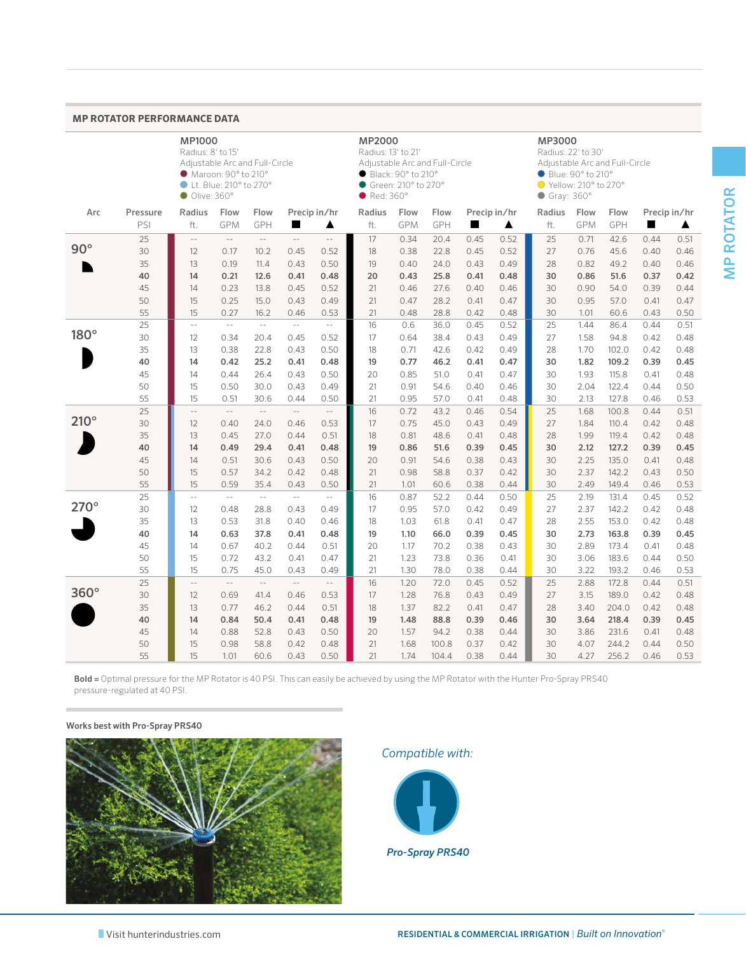#### **MP ROTATOR PERFORMANCE DATA**

|             |                 | <b>MP1000</b><br>Radius: 8' to 15'<br>Adjustable Arc and Full-Circle<br>Maroon: 90° to 210°<br>Lt. Blue: 210° to 270°<br>Olive:360° |                           |                                     |                             |                                  | MP2000<br>$\bullet$ Red: 360 $^{\circ}$ | Radius: 13' to 21'<br>Adjustable Arc and Full-Circle<br>● Black: 90° to 210°<br>$\bullet$ Green: 210 $^{\circ}$ to 270 $^{\circ}$ |              |              | MP3000<br>Radius: 22' to 30'<br>Adjustable Arc and Full-Circle<br>● Blue: 90° to 210°<br>$\bullet$ Yellow: 210 $\degree$ to 270 $\degree$<br>$\bullet$ Gray: 360 $^{\circ}$ |               |              |                |              |                   |
|-------------|-----------------|-------------------------------------------------------------------------------------------------------------------------------------|---------------------------|-------------------------------------|-----------------------------|----------------------------------|-----------------------------------------|-----------------------------------------------------------------------------------------------------------------------------------|--------------|--------------|-----------------------------------------------------------------------------------------------------------------------------------------------------------------------------|---------------|--------------|----------------|--------------|-------------------|
| Arc         | Pressure<br>PSI | Radius<br>ft.                                                                                                                       | Flow<br>GPM               | Flow<br>GPH                         | H                           | Precip in/hr<br>▲                | Radius<br>ft.                           | Flow<br><b>GPM</b>                                                                                                                | Flow<br>GPH  | ш            | Precip in/hr<br>▲                                                                                                                                                           | Radius<br>ft. | Flow<br>GPM  | Flow<br>GPH    | H            | Precip in/hr<br>▲ |
|             |                 |                                                                                                                                     | $\overline{\phantom{a}}$  | $\mathbb{L}^{\mathbb{L}}$           | $\mathbb{L}^2$              |                                  |                                         |                                                                                                                                   |              |              |                                                                                                                                                                             |               |              |                |              |                   |
| $90^\circ$  | 25<br>30        | $\overline{\phantom{a}}$                                                                                                            | 0.17                      | 10.2                                |                             | $\cdots$<br>0.52                 | 17<br>18                                | 0.34<br>0.38                                                                                                                      | 20.4<br>22.8 | 0.45<br>0.45 | 0.52<br>0.52                                                                                                                                                                | 25<br>27      | 0.71<br>0.76 | 42.6<br>45.6   | 0.44         | 0.51<br>0.46      |
|             |                 | 12                                                                                                                                  |                           |                                     | 0.45                        | 0.50                             |                                         | 0.40                                                                                                                              | 24.0         |              | 0.49                                                                                                                                                                        |               | 0.82         |                | 0.40         |                   |
|             | 35              | 13                                                                                                                                  | 0.19                      | 11.4                                | 0.43                        |                                  | 19                                      |                                                                                                                                   |              | 0.43         |                                                                                                                                                                             | 28            |              | 49.2           | 0.40         | 0.46              |
|             | 40              | 14                                                                                                                                  | 0.21                      | 12.6                                | 0.41                        | 0.48                             | 20                                      | 0.43                                                                                                                              | 25.8         | 0.41         | 0.48                                                                                                                                                                        | 30            | 0.86         | 51.6           | 0.37         | 0.42              |
|             | 45              | 14                                                                                                                                  | 0.23                      | 13.8                                | 0.45                        | 0.52                             | 21                                      | 0.46                                                                                                                              | 27.6         | 0.40         | 0.46                                                                                                                                                                        | 30            | 0.90         | 54.0           | 0.39         | 0.44              |
|             | 50              | 15                                                                                                                                  | 0.25                      | 15.0                                | 0.43                        | 0.49                             | 21                                      | 0.47                                                                                                                              | 28.2         | 0.41         | 0.47                                                                                                                                                                        | 30            | 0.95         | 57.0           | 0.41         | 0.47              |
|             | 55              | 15                                                                                                                                  | 0.27                      | 16.2<br>$\mathcal{L}_{\mathcal{A}}$ | 0.46                        | 0.53                             | 21                                      | 0.48                                                                                                                              | 28.8         | 0.42         | 0.48                                                                                                                                                                        | 30            | 1.01         | 60.6           | 0.43         | 0.50              |
| $180^\circ$ | 25<br>30        | $\overline{a}$                                                                                                                      | $\mathbb{L}^{\mathbb{L}}$ |                                     | $\overline{a}$              | $\overline{a}$                   | 16<br>17                                | 0.6<br>0.64                                                                                                                       | 36.0         | 0.45         | 0.52                                                                                                                                                                        | 25<br>27      | 1.44         | 86.4           | 0.44         | 0.51              |
|             | 35              | 12<br>13                                                                                                                            | 0.34<br>0.38              | 20.4<br>22.8                        | 0.45<br>0.43                | 0.52<br>0.50                     | 18                                      | 0.71                                                                                                                              | 38.4         | 0.43<br>0.42 | 0.49<br>0.49                                                                                                                                                                | 28            | 1.58<br>1.70 | 94.8           | 0.42<br>0.42 | 0.48<br>0.48      |
|             |                 |                                                                                                                                     |                           |                                     |                             |                                  | 19                                      |                                                                                                                                   | 42.6<br>46.2 |              |                                                                                                                                                                             |               |              | 102.0          |              |                   |
|             | 40<br>45        | 14                                                                                                                                  | 0.42                      | 25.2<br>26.4                        | 0.41<br>0.43                | 0.48                             |                                         | 0.77                                                                                                                              |              | 0.41         | 0.47                                                                                                                                                                        | 30<br>30      | 1.82<br>1.93 | 109.2          | 0.39<br>0.41 | 0.45              |
|             |                 | 14                                                                                                                                  | 0.44                      |                                     |                             | 0.50                             | 20                                      | 0.85                                                                                                                              | 51.0         | 0.41         | 0.47                                                                                                                                                                        |               |              | 115.8          |              | 0.48              |
|             | 50              | 15                                                                                                                                  | 0.50                      | 30.0                                | 0.43                        | 0.49                             | 21                                      | 0.91                                                                                                                              | 54.6         | 0.40         | 0.46                                                                                                                                                                        | 30            | 2.04         | 122.4          | 0.44         | 0.50              |
|             | 55<br>25        | 15<br>$\overline{a}$                                                                                                                | 0.51<br>$\mathbb{L}^2$    | 30.6<br>$\overline{a}$              | 0.44<br>$\mathbb{L}^2$      | 0.50<br>$\overline{\phantom{a}}$ | 21<br>16                                | 0.95<br>0.72                                                                                                                      | 57.0<br>43.2 | 0.41<br>0.46 | 0.48<br>0.54                                                                                                                                                                | 30<br>25      | 2.13<br>1.68 | 127.8<br>100.8 | 0.46<br>0.44 | 0.53<br>0.51      |
| $210^\circ$ | 30              |                                                                                                                                     | 0.40                      |                                     |                             | 0.53                             | 17                                      | 0.75                                                                                                                              | 45.0         | 0.43         | 0.49                                                                                                                                                                        | 27            | 1.84         |                | 0.42         | 0.48              |
|             | 35              | 12<br>13                                                                                                                            | 0.45                      | 24.0<br>27.0                        | 0.46<br>0.44                | 0.51                             | 18                                      | 0.81                                                                                                                              | 48.6         | 0.41         | 0.48                                                                                                                                                                        | 28            | 1.99         | 110.4<br>119.4 | 0.42         | 0.48              |
|             | 40              | 14                                                                                                                                  | 0.49                      | 29.4                                | 0.41                        | 0.48                             | 19                                      | 0.86                                                                                                                              | 51.6         | 0.39         | 0.45                                                                                                                                                                        | 30            | 2.12         | 127.2          | 0.39         | 0.45              |
|             | 45              | 14                                                                                                                                  | 0.51                      | 30.6                                | 0.43                        | 0.50                             | 20                                      | 0.91                                                                                                                              | 54.6         | 0.38         | 0.43                                                                                                                                                                        | 30            | 2.25         | 135.0          | 0.41         | 0.48              |
|             | 50              | 15                                                                                                                                  | 0.57                      | 34.2                                | 0.42                        | 0.48                             | 21                                      | 0.98                                                                                                                              | 58.8         | 0.37         | 0.42                                                                                                                                                                        | 30            | 2.37         | 142.2          | 0.43         | 0.50              |
|             | 55              | 15                                                                                                                                  | 0.59                      | 35.4                                | 0.43                        | 0.50                             | 21                                      | 1.01                                                                                                                              | 60.6         | 0.38         | 0.44                                                                                                                                                                        | 30            | 2.49         | 149.4          | 0.46         | 0.53              |
|             | 25              | $\overline{a}$                                                                                                                      | $\overline{a}$            | $\mathcal{L}_{\mathcal{A}}$         | $\mathcal{L}_{\mathcal{A}}$ | $\overline{\phantom{a}}$         | 16                                      | 0.87                                                                                                                              | 52.2         | 0.44         | 0.50                                                                                                                                                                        | 25            | 2.19         | 131.4          | 0.45         | 0.52              |
| $270^\circ$ | 30              | 12                                                                                                                                  | 0.48                      | 28.8                                | 0.43                        | 0.49                             | 17                                      | 0.95                                                                                                                              | 57.0         | 0.42         | 0.49                                                                                                                                                                        | 27            | 2.37         | 142.2          | 0.42         | 0.48              |
|             | 35              | 13                                                                                                                                  | 0.53                      | 31.8                                | 0.40                        | 0.46                             | 18                                      | 1.03                                                                                                                              | 61.8         | 0.41         | 0.47                                                                                                                                                                        | 28            | 2.55         | 153.0          | 0.42         | 0.48              |
|             | 40              | 14                                                                                                                                  | 0.63                      | 37.8                                | 0.41                        | 0.48                             | 19                                      | 1.10                                                                                                                              | 66.0         | 0.39         | 0.45                                                                                                                                                                        | 30            | 2.73         | 163.8          | 0.39         | 0.45              |
|             | 45              | 14                                                                                                                                  | 0.67                      | 40.2                                | 0.44                        | 0.51                             | 20                                      | 1.17                                                                                                                              | 70.2         | 0.38         | 0.43                                                                                                                                                                        | 30            | 2.89         | 173.4          | 0.41         | 0.48              |
|             | 50              | 15                                                                                                                                  | 0.72                      | 43.2                                | 0.41                        | 0.47                             | 21                                      | 1.23                                                                                                                              | 73.8         | 0.36         | 0.41                                                                                                                                                                        | 30            | 3.06         | 183.6          | 0.44         | 0.50              |
|             | 55              | 15                                                                                                                                  | 0.75                      | 45.0                                | 0.43                        | 0.49                             | 21                                      | 1.30                                                                                                                              | 78.0         | 0.38         | 0.44                                                                                                                                                                        | 30            | 3.22         | 193.2          | 0.46         | 0.53              |
|             | 25              | $\overline{a}$                                                                                                                      | $\overline{a}$            | $\overline{a}$                      | $\overline{\phantom{a}}$    | $\cdots$                         | 16                                      | 1.20                                                                                                                              | 72.0         | 0.45         | 0.52                                                                                                                                                                        | 25            | 2.88         | 172.8          | 0.44         | 0.51              |
| $360^\circ$ | 30              | 12                                                                                                                                  | 0.69                      | 41.4                                | 0.46                        | 0.53                             | 17                                      | 1.28                                                                                                                              | 76.8         | 0.43         | 0.49                                                                                                                                                                        | 27            | 3.15         | 189.0          | 0.42         | 0.48              |
|             | 35              | 13                                                                                                                                  | 0.77                      | 46.2                                | 0.44                        | 0.51                             | 18                                      | 1.37                                                                                                                              | 82.2         | 0.41         | 0.47                                                                                                                                                                        | 28            | 3.40         | 204.0          | 0.42         | 0.48              |
|             | 40              | 14                                                                                                                                  | 0.84                      | 50.4                                | 0.41                        | 0.48                             | 19                                      | 1.48                                                                                                                              | 88.8         | 0.39         | 0.46                                                                                                                                                                        | 30            | 3.64         | 218.4          | 0.39         | 0.45              |
|             | 45              | 14                                                                                                                                  | 0.88                      | 52.8                                | 0.43                        | 0.50                             | 20                                      | 1.57                                                                                                                              | 94.2         | 0.38         | 0.44                                                                                                                                                                        | 30            | 3.86         | 231.6          | 0.41         | 0.48              |
|             | 50              | 15                                                                                                                                  | 0.98                      | 58.8                                | 0.42                        | 0.48                             | 21                                      | 1.68                                                                                                                              | 100.8        | 0.37         | 0.42                                                                                                                                                                        | 30            | 4.07         | 244.2          | 0.44         | 0.50              |
|             | 55              | 15                                                                                                                                  | 1.01                      | 60.6                                | 0.43                        | 0.50                             | 21                                      | 1.74                                                                                                                              | 104.4        | 0.38         | 0.44                                                                                                                                                                        | 30            | 4.27         | 256.2          | 0.46         | 0.53              |

Bold = Optimal pressure for the MP Rotator is 40 PSI. This can easily be achieved by using the MP Rotator with the Hunter Pro-Spray PRS40 pressure-regulated at 40 PSI.

#### Works best with Pro-Spray PRS40



*Compatible with:* 



*Pro-Spray PRS40*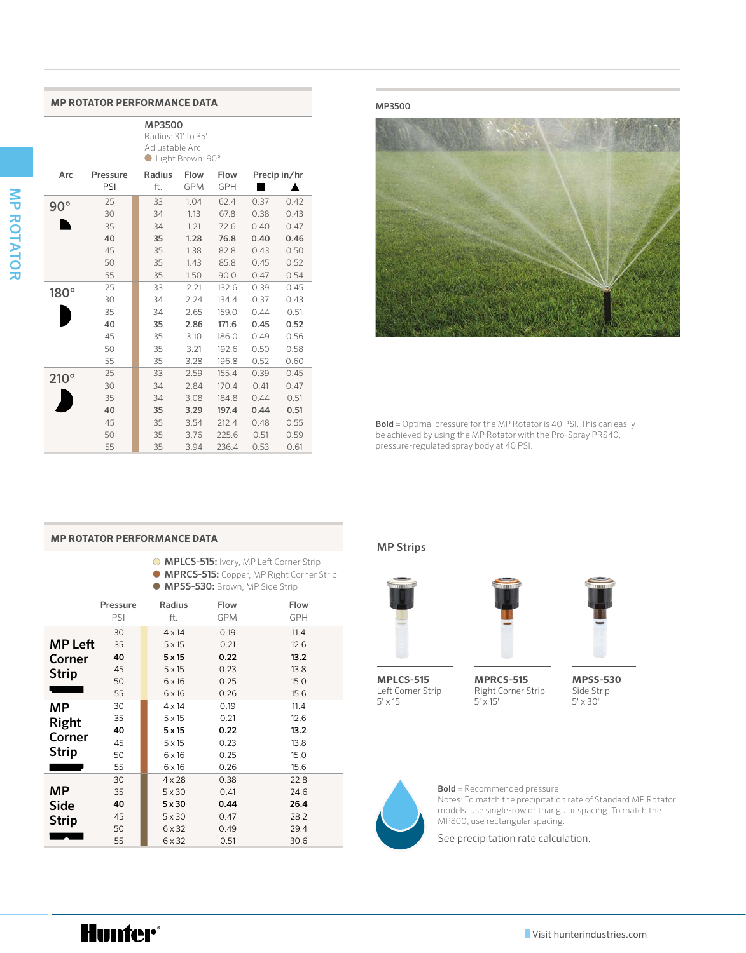#### **MP ROTATOR PERFORMANCE DATA** MP3500

MP3500 Radius: 31' to 35' Adjustable Arc ● Light Brown: 90°

| Arc         | Pressure<br>PSI | Radius<br>ft. | Flow<br><b>GPM</b> | Flow<br><b>GPH</b> |      | Precip in/hr |
|-------------|-----------------|---------------|--------------------|--------------------|------|--------------|
| $90^\circ$  | 25              | 33            | 1.04               | 62.4               | 0.37 | 0.42         |
|             | 30              | 34            | 1.13               | 67.8               | 0.38 | 0.43         |
|             | 35              | 34            | 1.21               | 72.6               | 0.40 | 0.47         |
|             | 40              | 35            | 1.28               | 76.8               | 0.40 | 0.46         |
|             | 45              | 35            | 1.38               | 82.8               | 0.43 | 0.50         |
|             | 50              | 35            | 1.43               | 85.8               | 0.45 | 0.52         |
|             | 55              | 35            | 1.50               | 90.0               | 0.47 | 0.54         |
| 180°        | 25              | 33            | 2.21               | 132.6              | 0.39 | 0.45         |
|             | 30              | 34            | 2.24               | 134.4              | 0.37 | 0.43         |
|             | 35              | 34            | 2.65               | 159.0              | 0.44 | 0.51         |
|             | 40              | 35            | 2.86               | 171.6              | 0.45 | 0.52         |
|             | 45              | 35            | 3.10               | 186.0              | 0.49 | 0.56         |
|             | 50              | 35            | 3.21               | 192.6              | 0.50 | 0.58         |
|             | 55              | 35            | 3.28               | 196.8              | 0.52 | 0.60         |
| $210^\circ$ | 25              | 33            | 2.59               | 155.4              | 0.39 | 0.45         |
|             | 30              | 34            | 2.84               | 170.4              | 0.41 | 0.47         |
|             | 35              | 34            | 3.08               | 184.8              | 0.44 | 0.51         |
|             | 40              | 35            | 3.29               | 197.4              | 0.44 | 0.51         |
|             | 45              | 35            | 3.54               | 212.4              | 0.48 | 0.55         |
|             | 50              | 35            | 3.76               | 225.6              | 0.51 | 0.59         |
|             | 55              | 35            | 3.94               | 236.4              | 0.53 | 0.61         |



Bold = Optimal pressure for the MP Rotator is 40 PSI. This can easily be achieved by using the MP Rotator with the Pro-Spray PRS40, pressure-regulated spray body at 40 PSI.

#### **MP ROTATOR PERFORMANCE DATA**

- **MPLCS-515:** Ivory, MP Left Corner Strip
- MPRCS-515: Copper, MP Right Corner Strip MPSS-530: Brown, MP Side Strip

|                | Pressure<br>PSI | Radius<br>ft. | Flow<br>GPM | Flow<br><b>GPH</b> |
|----------------|-----------------|---------------|-------------|--------------------|
|                | 30              | $4 \times 14$ | 0.19        | 11.4               |
| <b>MP Left</b> | 35              | $5 \times 15$ | 0.21        | 12.6               |
| Corner         | 40              | 5x15          | 0.22        | 13.2               |
| <b>Strip</b>   | 45              | $5 \times 15$ | 0.23        | 13.8               |
|                | 50              | $6 \times 16$ | 0.25        | 15.0               |
|                | 55              | $6 \times 16$ | 0.26        | 15.6               |
| МP             | 30              | $4 \times 14$ | 0.19        | 11.4               |
| Right          | 35              | $5 \times 15$ | 0.21        | 12.6               |
|                | 40              | $5 \times 15$ | 0.22        | 13.2               |
| Corner         | 45              | $5 \times 15$ | 0.23        | 13.8               |
| <b>Strip</b>   | 50              | $6 \times 16$ | 0.25        | 15.0               |
|                | 55              | 6 x 16        | 0.26        | 15.6               |
|                | 30              | $4 \times 28$ | 0.38        | 22.8               |
| МP             | 35              | $5 \times 30$ | 0.41        | 24.6               |
| <b>Side</b>    | 40              | 5x30          | 0.44        | 26.4               |
| <b>Strip</b>   | 45              | $5 \times 30$ | 0.47        | 28.2               |
|                | 50              | 6 x 32        | 0.49        | 29.4               |
|                | 55              | 6 x 32        | 0.51        | 30.6               |

#### MP Strips



**MPLCS-515** Left Corner Strip  $5' \times 15'$ 



**MPRCS-515** Right Corner Strip  $5' \times 15'$ 



**MPSS-530** Side Strip 5' x 30'



Bold = Recommended pressure Notes: To match the precipitation rate of Standard MP Rotator models, use single-row or triangular spacing. To match the MP800, use rectangular spacing.

See precipitation rate calculation.